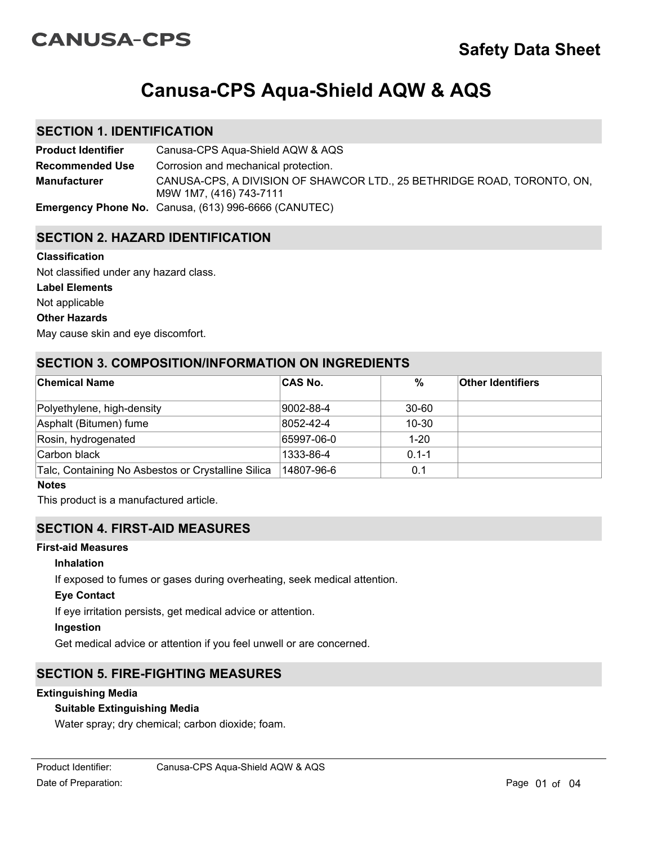# **CANUSA-CPS**

# **Canusa-CPS Aqua-Shield AQW & AQS**

## **SECTION 1. IDENTIFICATION**

**Product Identifier** Canusa-CPS Aqua-Shield AQW & AQS CANUSA-CPS, A DIVISION OF SHAWCOR LTD., 25 BETHRIDGE ROAD, TORONTO, ON, M9W 1M7, (416) 743-7111 **Recommended Use Emergency Phone No.** Canusa, (613) 996-6666 (CANUTEC) **Manufacturer** Corrosion and mechanical protection.

## **SECTION 2. HAZARD IDENTIFICATION**

#### **Classification**

Not classified under any hazard class.

#### **Label Elements**

Not applicable

#### **Other Hazards**

May cause skin and eye discomfort.

## **SECTION 3. COMPOSITION/INFORMATION ON INGREDIENTS**

| <b>Chemical Name</b>                               | <b>CAS No.</b>    | $\frac{0}{0}$ | <b>Other Identifiers</b> |
|----------------------------------------------------|-------------------|---------------|--------------------------|
| Polyethylene, high-density                         | 9002-88-4         | $30 - 60$     |                          |
| Asphalt (Bitumen) fume                             | $ 8052 - 42 - 4 $ | $10 - 30$     |                          |
| Rosin, hydrogenated                                | 65997-06-0        | $1 - 20$      |                          |
| Carbon black                                       | 1333-86-4         | $0.1 - 1$     |                          |
| Talc, Containing No Asbestos or Crystalline Silica | 14807-96-6        | 0.1           |                          |

#### **Notes**

This product is a manufactured article.

## **SECTION 4. FIRST-AID MEASURES**

### **First-aid Measures**

#### **Inhalation**

If exposed to fumes or gases during overheating, seek medical attention.

#### **Eye Contact**

If eye irritation persists, get medical advice or attention.

#### **Ingestion**

Get medical advice or attention if you feel unwell or are concerned.

# **SECTION 5. FIRE-FIGHTING MEASURES**

#### **Extinguishing Media**

#### **Suitable Extinguishing Media**

Water spray; dry chemical; carbon dioxide; foam.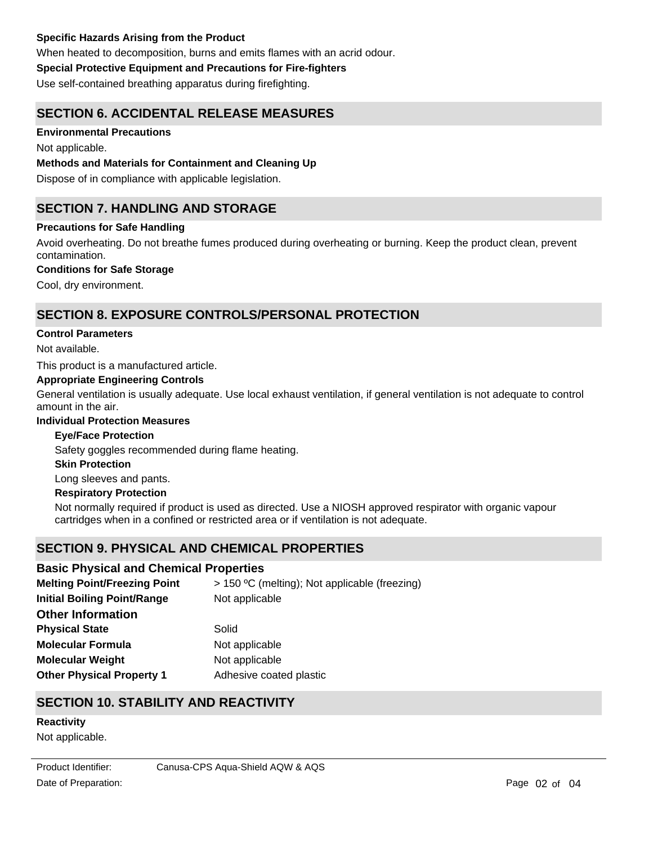#### **Specific Hazards Arising from the Product**

When heated to decomposition, burns and emits flames with an acrid odour.

#### **Special Protective Equipment and Precautions for Fire-fighters**

Use self-contained breathing apparatus during firefighting.

## **SECTION 6. ACCIDENTAL RELEASE MEASURES**

#### **Environmental Precautions**

Not applicable.

#### **Methods and Materials for Containment and Cleaning Up**

Dispose of in compliance with applicable legislation.

## **SECTION 7. HANDLING AND STORAGE**

#### **Precautions for Safe Handling**

Avoid overheating. Do not breathe fumes produced during overheating or burning. Keep the product clean, prevent contamination.

#### **Conditions for Safe Storage**

Cool, dry environment.

## **SECTION 8. EXPOSURE CONTROLS/PERSONAL PROTECTION**

#### **Control Parameters**

Not available.

This product is a manufactured article.

#### **Appropriate Engineering Controls**

General ventilation is usually adequate. Use local exhaust ventilation, if general ventilation is not adequate to control amount in the air.

#### **Individual Protection Measures**

#### **Eye/Face Protection**

Safety goggles recommended during flame heating.

#### **Skin Protection**

Long sleeves and pants.

#### **Respiratory Protection**

Not normally required if product is used as directed. Use a NIOSH approved respirator with organic vapour cartridges when in a confined or restricted area or if ventilation is not adequate.

## **SECTION 9. PHYSICAL AND CHEMICAL PROPERTIES**

#### **Basic Physical and Chemical Properties**

| <b>Melting Point/Freezing Point</b> | > 150 °C (melting); Not applicable (freezing) |  |  |
|-------------------------------------|-----------------------------------------------|--|--|
| <b>Initial Boiling Point/Range</b>  | Not applicable                                |  |  |
| <b>Other Information</b>            |                                               |  |  |
| <b>Physical State</b>               | Solid                                         |  |  |
| <b>Molecular Formula</b>            | Not applicable                                |  |  |
| <b>Molecular Weight</b>             | Not applicable                                |  |  |
| <b>Other Physical Property 1</b>    | Adhesive coated plastic                       |  |  |
|                                     |                                               |  |  |

# **SECTION 10. STABILITY AND REACTIVITY**

# **Reactivity**

Not applicable.

Product Identifier: Canusa-CPS Aqua-Shield AQW & AQS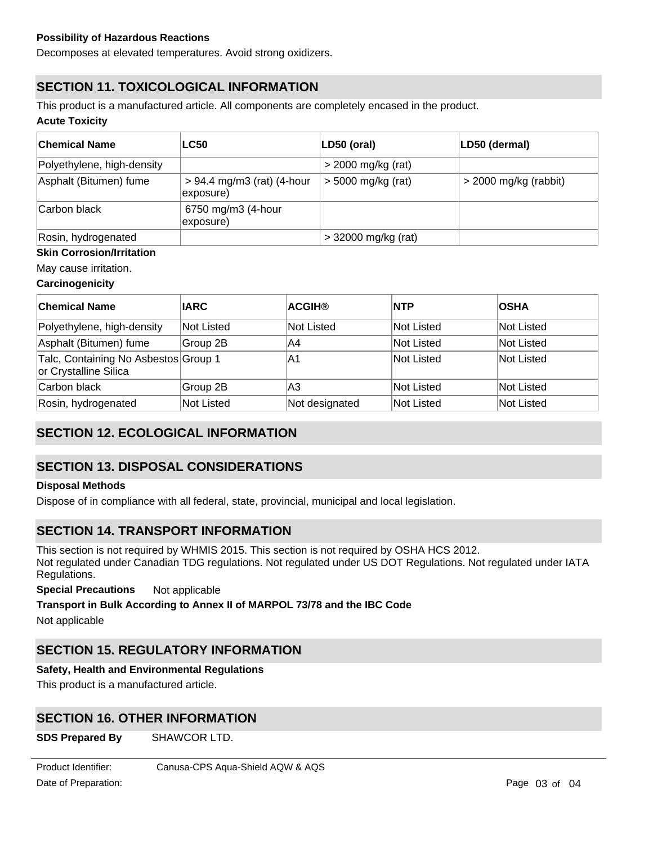Decomposes at elevated temperatures. Avoid strong oxidizers.

# **SECTION 11. TOXICOLOGICAL INFORMATION**

This product is a manufactured article. All components are completely encased in the product.

#### **Acute Toxicity**

| <b>Chemical Name</b>       | <b>LC50</b>                               | LD50 (oral)           | LD50 (dermal)           |
|----------------------------|-------------------------------------------|-----------------------|-------------------------|
| Polyethylene, high-density |                                           | $>$ 2000 mg/kg (rat)  |                         |
| Asphalt (Bitumen) fume     | $> 94.4$ mg/m3 (rat) (4-hour<br>exposure) | $>$ 5000 mg/kg (rat)  | $>$ 2000 mg/kg (rabbit) |
| Carbon black               | 6750 mg/m3 (4-hour<br>exposure)           |                       |                         |
| Rosin, hydrogenated        |                                           | $>$ 32000 mg/kg (rat) |                         |

#### **Skin Corrosion/Irritation**

May cause irritation.

#### **Carcinogenicity**

| <b>Chemical Name</b>                                          | <b>IARC</b> | <b>ACGIH®</b>  | <b>INTP</b> | <b>OSHA</b>       |
|---------------------------------------------------------------|-------------|----------------|-------------|-------------------|
| Polyethylene, high-density                                    | Not Listed  | Not Listed     | Not Listed  | <b>Not Listed</b> |
| Asphalt (Bitumen) fume                                        | Group 2B    | IA4            | Not Listed  | Not Listed        |
| Talc, Containing No Asbestos Group 1<br>or Crystalline Silica |             | IA1            | Not Listed  | Not Listed        |
| Carbon black                                                  | Group 2B    | lA3            | Not Listed  | Not Listed        |
| Rosin, hydrogenated                                           | Not Listed  | Not designated | Not Listed  | Not Listed        |

# **SECTION 12. ECOLOGICAL INFORMATION**

# **SECTION 13. DISPOSAL CONSIDERATIONS**

#### **Disposal Methods**

Dispose of in compliance with all federal, state, provincial, municipal and local legislation.

## **SECTION 14. TRANSPORT INFORMATION**

This section is not required by WHMIS 2015. This section is not required by OSHA HCS 2012. Not regulated under Canadian TDG regulations. Not regulated under US DOT Regulations. Not regulated under IATA Regulations.

**Special Precautions** Not applicable

#### **Transport in Bulk According to Annex II of MARPOL 73/78 and the IBC Code**

Not applicable

# **SECTION 15. REGULATORY INFORMATION**

#### **Safety, Health and Environmental Regulations**

This product is a manufactured article.

# **SECTION 16. OTHER INFORMATION**

**SDS Prepared By** SHAWCOR LTD. **Phone No.** (416) 743-7111